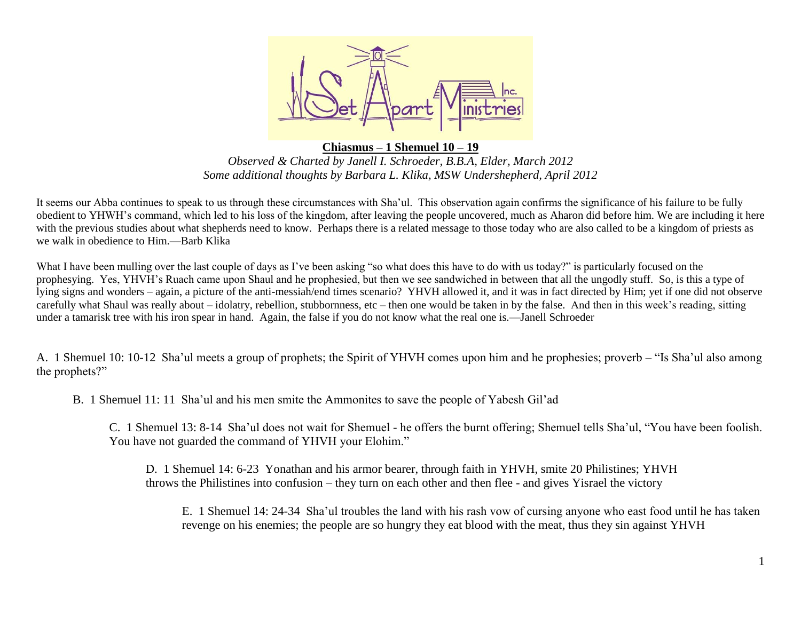

**Chiasmus – 1 Shemuel 10 – 19** *Observed & Charted by Janell I. Schroeder, B.B.A, Elder, March 2012 Some additional thoughts by Barbara L. Klika, MSW Undershepherd, April 2012*

It seems our Abba continues to speak to us through these circumstances with Sha'ul. This observation again confirms the significance of his failure to be fully obedient to YHWH's command, which led to his loss of the kingdom, after leaving the people uncovered, much as Aharon did before him. We are including it here with the previous studies about what shepherds need to know. Perhaps there is a related message to those today who are also called to be a kingdom of priests as we walk in obedience to Him.—Barb Klika

What I have been mulling over the last couple of days as I've been asking "so what does this have to do with us today?" is particularly focused on the prophesying. Yes, YHVH's Ruach came upon Shaul and he prophesied, but then we see sandwiched in between that all the ungodly stuff. So, is this a type of lying signs and wonders – again, a picture of the anti-messiah/end times scenario? YHVH allowed it, and it was in fact directed by Him; yet if one did not observe carefully what Shaul was really about – idolatry, rebellion, stubbornness, etc – then one would be taken in by the false. And then in this week's reading, sitting under a tamarisk tree with his iron spear in hand. Again, the false if you do not know what the real one is.—Janell Schroeder

A. 1 Shemuel 10: 10-12 Sha'ul meets a group of prophets; the Spirit of YHVH comes upon him and he prophesies; proverb – "Is Sha'ul also among the prophets?"

B. 1 Shemuel 11: 11 Sha'ul and his men smite the Ammonites to save the people of Yabesh Gil'ad

C. 1 Shemuel 13: 8-14 Sha'ul does not wait for Shemuel - he offers the burnt offering; Shemuel tells Sha'ul, "You have been foolish. You have not guarded the command of YHVH your Elohim."

D. 1 Shemuel 14: 6-23 Yonathan and his armor bearer, through faith in YHVH, smite 20 Philistines; YHVH throws the Philistines into confusion – they turn on each other and then flee - and gives Yisrael the victory

E. 1 Shemuel 14: 24-34 Sha'ul troubles the land with his rash vow of cursing anyone who east food until he has taken revenge on his enemies; the people are so hungry they eat blood with the meat, thus they sin against YHVH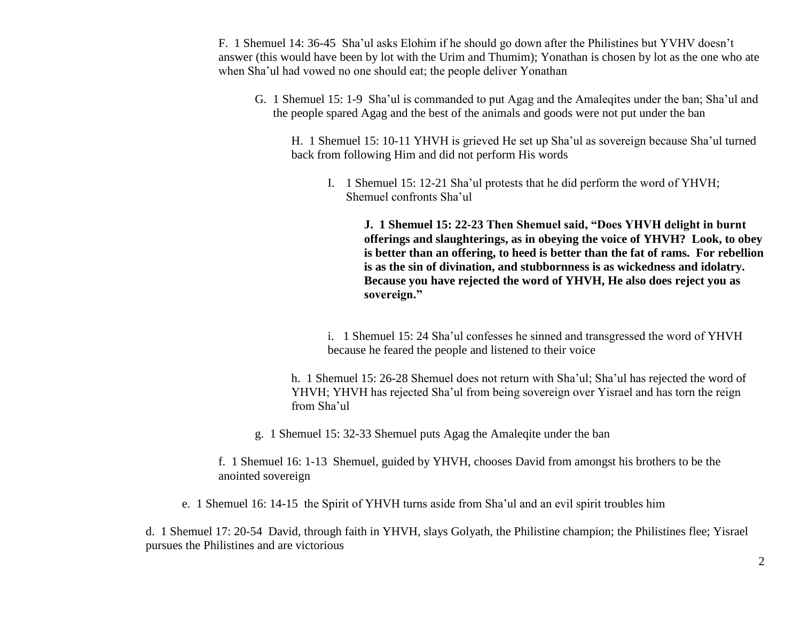F. 1 Shemuel 14: 36-45 Sha'ul asks Elohim if he should go down after the Philistines but YVHV doesn't answer (this would have been by lot with the Urim and Thumim); Yonathan is chosen by lot as the one who ate when Sha'ul had vowed no one should eat; the people deliver Yonathan

G. 1 Shemuel 15: 1-9 Sha'ul is commanded to put Agag and the Amaleqites under the ban; Sha'ul and the people spared Agag and the best of the animals and goods were not put under the ban

H. 1 Shemuel 15: 10-11 YHVH is grieved He set up Sha'ul as sovereign because Sha'ul turned back from following Him and did not perform His words

I. 1 Shemuel 15: 12-21 Sha'ul protests that he did perform the word of YHVH; Shemuel confronts Sha'ul

**J. 1 Shemuel 15: 22-23 Then Shemuel said, "Does YHVH delight in burnt offerings and slaughterings, as in obeying the voice of YHVH? Look, to obey is better than an offering, to heed is better than the fat of rams. For rebellion is as the sin of divination, and stubbornness is as wickedness and idolatry. Because you have rejected the word of YHVH, He also does reject you as sovereign."**

i. 1 Shemuel 15: 24 Sha'ul confesses he sinned and transgressed the word of YHVH because he feared the people and listened to their voice

h. 1 Shemuel 15: 26-28 Shemuel does not return with Sha'ul; Sha'ul has rejected the word of YHVH; YHVH has rejected Sha'ul from being sovereign over Yisrael and has torn the reign from Sha'ul

g. 1 Shemuel 15: 32-33 Shemuel puts Agag the Amaleqite under the ban

f. 1 Shemuel 16: 1-13 Shemuel, guided by YHVH, chooses David from amongst his brothers to be the anointed sovereign

e. 1 Shemuel 16: 14-15 the Spirit of YHVH turns aside from Sha'ul and an evil spirit troubles him

d. 1 Shemuel 17: 20-54 David, through faith in YHVH, slays Golyath, the Philistine champion; the Philistines flee; Yisrael pursues the Philistines and are victorious